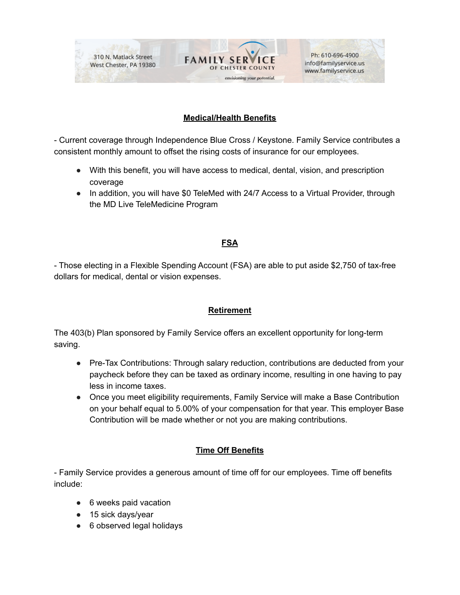

Ph: 610-696-4900 info@familyservice.us www.familyservice.us

## **Medical/Health Benefits**

- Current coverage through Independence Blue Cross / Keystone. Family Service contributes a consistent monthly amount to offset the rising costs of insurance for our employees.

- With this benefit, you will have access to medical, dental, vision, and prescription coverage
- In addition, you will have \$0 TeleMed with 24/7 Access to a Virtual Provider, through the MD Live TeleMedicine Program

## **FSA**

- Those electing in a Flexible Spending Account (FSA) are able to put aside \$2,750 of tax-free dollars for medical, dental or vision expenses.

## **Retirement**

The 403(b) Plan sponsored by Family Service offers an excellent opportunity for long-term saving.

- Pre-Tax Contributions: Through salary reduction, contributions are deducted from your paycheck before they can be taxed as ordinary income, resulting in one having to pay less in income taxes.
- Once you meet eligibility requirements, Family Service will make a Base Contribution on your behalf equal to 5.00% of your compensation for that year. This employer Base Contribution will be made whether or not you are making contributions.

## **Time Off Benefits**

- Family Service provides a generous amount of time off for our employees. Time off benefits include:

- 6 weeks paid vacation
- 15 sick days/year
- 6 observed legal holidays